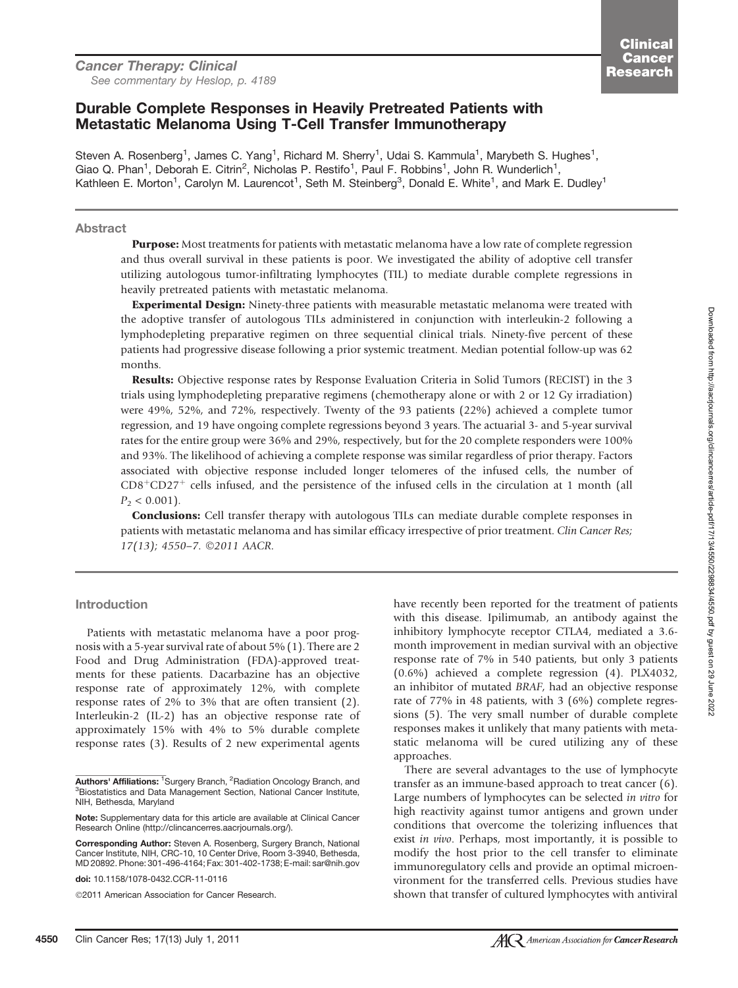### Durable Complete Responses in Heavily Pretreated Patients with Metastatic Melanoma Using T-Cell Transfer Immunotherapy

Steven A. Rosenberg<sup>1</sup>, James C. Yang<sup>1</sup>, Richard M. Sherry<sup>1</sup>, Udai S. Kammula<sup>1</sup>, Marybeth S. Hughes<sup>1</sup>, Giao Q. Phan<sup>1</sup>, Deborah E. Citrin<sup>2</sup>, Nicholas P. Restifo<sup>1</sup>, Paul F. Robbins<sup>1</sup>, John R. Wunderlich<sup>1</sup>, Kathleen E. Morton<sup>1</sup>, Carolyn M. Laurencot<sup>1</sup>, Seth M. Steinberg<sup>3</sup>, Donald E. White<sup>1</sup>, and Mark E. Dudley<sup>1</sup>

#### Abstract

Purpose: Most treatments for patients with metastatic melanoma have a low rate of complete regression and thus overall survival in these patients is poor. We investigated the ability of adoptive cell transfer utilizing autologous tumor-infiltrating lymphocytes (TIL) to mediate durable complete regressions in heavily pretreated patients with metastatic melanoma.

**Experimental Design:** Ninety-three patients with measurable metastatic melanoma were treated with the adoptive transfer of autologous TILs administered in conjunction with interleukin-2 following a lymphodepleting preparative regimen on three sequential clinical trials. Ninety-five percent of these patients had progressive disease following a prior systemic treatment. Median potential follow-up was 62 months.

Results: Objective response rates by Response Evaluation Criteria in Solid Tumors (RECIST) in the 3 trials using lymphodepleting preparative regimens (chemotherapy alone or with 2 or 12 Gy irradiation) were 49%, 52%, and 72%, respectively. Twenty of the 93 patients (22%) achieved a complete tumor regression, and 19 have ongoing complete regressions beyond 3 years. The actuarial 3- and 5-year survival rates for the entire group were 36% and 29%, respectively, but for the 20 complete responders were 100% and 93%. The likelihood of achieving a complete response was similar regardless of prior therapy. Factors associated with objective response included longer telomeres of the infused cells, the number of  $CD8<sup>+</sup>CD27<sup>+</sup>$  cells infused, and the persistence of the infused cells in the circulation at 1 month (all  $P_2 < 0.001$ ).

Conclusions: Cell transfer therapy with autologous TILs can mediate durable complete responses in patients with metastatic melanoma and has similar efficacy irrespective of prior treatment. Clin Cancer Res; 17(13); 4550-7. ©2011 AACR.

### Introduction

Patients with metastatic melanoma have a poor prognosis with a 5-year survival rate of about 5% (1). There are 2 Food and Drug Administration (FDA)-approved treatments for these patients. Dacarbazine has an objective response rate of approximately 12%, with complete response rates of 2% to 3% that are often transient (2). Interleukin-2 (IL-2) has an objective response rate of approximately 15% with 4% to 5% durable complete response rates (3). Results of 2 new experimental agents

2011 American Association for Cancer Research.

have recently been reported for the treatment of patients with this disease. Ipilimumab, an antibody against the inhibitory lymphocyte receptor CTLA4, mediated a 3.6 month improvement in median survival with an objective response rate of 7% in 540 patients, but only 3 patients (0.6%) achieved a complete regression (4). PLX4032, an inhibitor of mutated BRAF, had an objective response rate of 77% in 48 patients, with 3 (6%) complete regressions (5). The very small number of durable complete responses makes it unlikely that many patients with metastatic melanoma will be cured utilizing any of these approaches.

There are several advantages to the use of lymphocyte transfer as an immune-based approach to treat cancer (6). Large numbers of lymphocytes can be selected in vitro for high reactivity against tumor antigens and grown under conditions that overcome the tolerizing influences that exist in vivo. Perhaps, most importantly, it is possible to modify the host prior to the cell transfer to eliminate immunoregulatory cells and provide an optimal microenvironment for the transferred cells. Previous studies have shown that transfer of cultured lymphocytes with antiviral

**Authors' Affiliations:** <sup>1</sup>Surgery Branch, <sup>2</sup>Radiation Oncology Branch, and<br><sup>3</sup>Biostatistics, and Data Management Section, National Cancer Institute <sup>3</sup>Biostatistics and Data Management Section, National Cancer Institute, NIH, Bethesda, Maryland

Note: Supplementary data for this article are available at Clinical Cancer Research Online (http://clincancerres.aacrjournals.org/).

Corresponding Author: Steven A. Rosenberg, Surgery Branch, National Cancer Institute, NIH, CRC-10, 10 Center Drive, Room 3-3940, Bethesda, MD 20892. Phone: 301-496-4164; Fax: 301-402-1738; E-mail: sar@nih.gov

doi: 10.1158/1078-0432.CCR-11-0116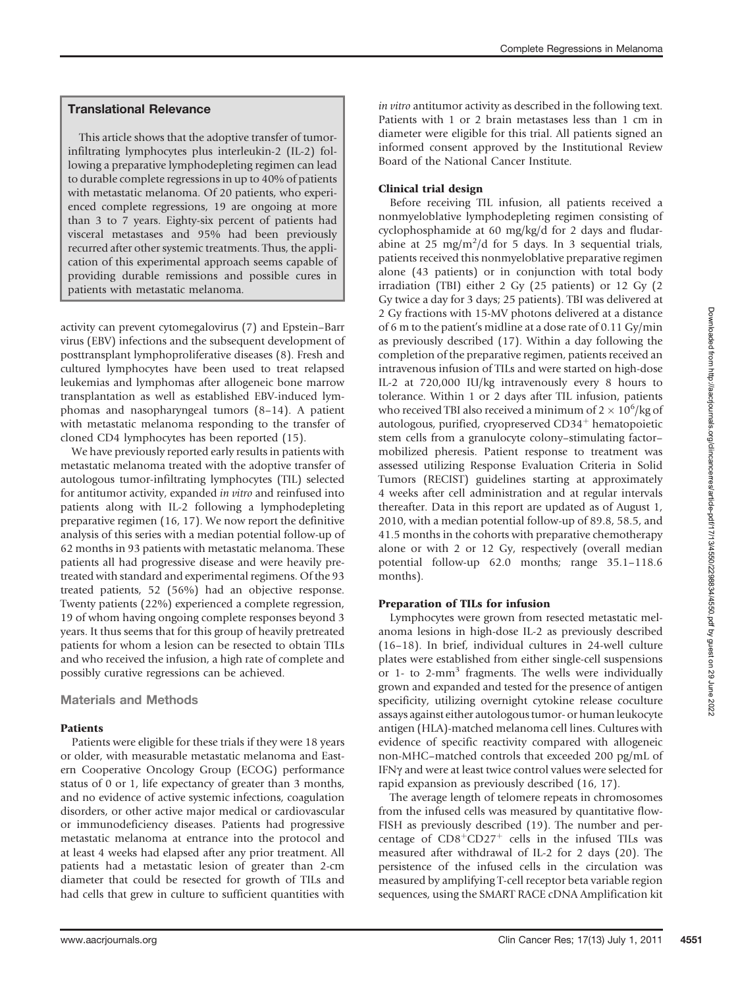# Translational Relevance

This article shows that the adoptive transfer of tumorinfiltrating lymphocytes plus interleukin-2 (IL-2) following a preparative lymphodepleting regimen can lead to durable complete regressions in up to 40% of patients with metastatic melanoma. Of 20 patients, who experienced complete regressions, 19 are ongoing at more than 3 to 7 years. Eighty-six percent of patients had visceral metastases and 95% had been previously recurred after other systemic treatments. Thus, the application of this experimental approach seems capable of providing durable remissions and possible cures in patients with metastatic melanoma.

activity can prevent cytomegalovirus (7) and Epstein–Barr virus (EBV) infections and the subsequent development of posttransplant lymphoproliferative diseases (8). Fresh and cultured lymphocytes have been used to treat relapsed leukemias and lymphomas after allogeneic bone marrow transplantation as well as established EBV-induced lymphomas and nasopharyngeal tumors (8–14). A patient with metastatic melanoma responding to the transfer of cloned CD4 lymphocytes has been reported (15).

We have previously reported early results in patients with metastatic melanoma treated with the adoptive transfer of autologous tumor-infiltrating lymphocytes (TIL) selected for antitumor activity, expanded in vitro and reinfused into patients along with IL-2 following a lymphodepleting preparative regimen (16, 17). We now report the definitive analysis of this series with a median potential follow-up of 62 months in 93 patients with metastatic melanoma. These patients all had progressive disease and were heavily pretreated with standard and experimental regimens. Of the 93 treated patients, 52 (56%) had an objective response. Twenty patients (22%) experienced a complete regression, 19 of whom having ongoing complete responses beyond 3 years. It thus seems that for this group of heavily pretreated patients for whom a lesion can be resected to obtain TILs and who received the infusion, a high rate of complete and possibly curative regressions can be achieved.

# Materials and Methods

# Patients

Patients were eligible for these trials if they were 18 years or older, with measurable metastatic melanoma and Eastern Cooperative Oncology Group (ECOG) performance status of 0 or 1, life expectancy of greater than 3 months, and no evidence of active systemic infections, coagulation disorders, or other active major medical or cardiovascular or immunodeficiency diseases. Patients had progressive metastatic melanoma at entrance into the protocol and at least 4 weeks had elapsed after any prior treatment. All patients had a metastatic lesion of greater than 2-cm diameter that could be resected for growth of TILs and had cells that grew in culture to sufficient quantities with

in vitro antitumor activity as described in the following text. Patients with 1 or 2 brain metastases less than 1 cm in diameter were eligible for this trial. All patients signed an informed consent approved by the Institutional Review Board of the National Cancer Institute.

### Clinical trial design

Before receiving TIL infusion, all patients received a nonmyeloblative lymphodepleting regimen consisting of cyclophosphamide at 60 mg/kg/d for 2 days and fludarabine at 25 mg/m<sup>2</sup>/d for 5 days. In 3 sequential trials, patients received this nonmyeloblative preparative regimen alone (43 patients) or in conjunction with total body irradiation (TBI) either 2 Gy (25 patients) or 12 Gy (2 Gy twice a day for 3 days; 25 patients). TBI was delivered at 2 Gy fractions with 15-MV photons delivered at a distance of 6 m to the patient's midline at a dose rate of 0.11 Gy/min as previously described (17). Within a day following the completion of the preparative regimen, patients received an intravenous infusion of TILs and were started on high-dose IL-2 at 720,000 IU/kg intravenously every 8 hours to tolerance. Within 1 or 2 days after TIL infusion, patients who received TBI also received a minimum of  $2 \times 10^6$ /kg of autologous, purified, cryopreserved CD34<sup>+</sup> hematopoietic stem cells from a granulocyte colony–stimulating factor– mobilized pheresis. Patient response to treatment was assessed utilizing Response Evaluation Criteria in Solid Tumors (RECIST) guidelines starting at approximately 4 weeks after cell administration and at regular intervals thereafter. Data in this report are updated as of August 1, 2010, with a median potential follow-up of 89.8, 58.5, and 41.5 months in the cohorts with preparative chemotherapy alone or with 2 or 12 Gy, respectively (overall median potential follow-up 62.0 months; range 35.1–118.6 months).

### Preparation of TILs for infusion

Lymphocytes were grown from resected metastatic melanoma lesions in high-dose IL-2 as previously described (16–18). In brief, individual cultures in 24-well culture plates were established from either single-cell suspensions or 1- to 2-mm3 fragments. The wells were individually grown and expanded and tested for the presence of antigen specificity, utilizing overnight cytokine release coculture assays against either autologous tumor- or human leukocyte antigen (HLA)-matched melanoma cell lines. Cultures with evidence of specific reactivity compared with allogeneic non-MHC–matched controls that exceeded 200 pg/mL of IFNg and were at least twice control values were selected for rapid expansion as previously described (16, 17).

The average length of telomere repeats in chromosomes from the infused cells was measured by quantitative flow-FISH as previously described (19). The number and percentage of  $CD8+CD27<sup>+</sup>$  cells in the infused TILs was measured after withdrawal of IL-2 for 2 days (20). The persistence of the infused cells in the circulation was measured by amplifying T-cell receptor beta variable region sequences, using the SMART RACE cDNA Amplification kit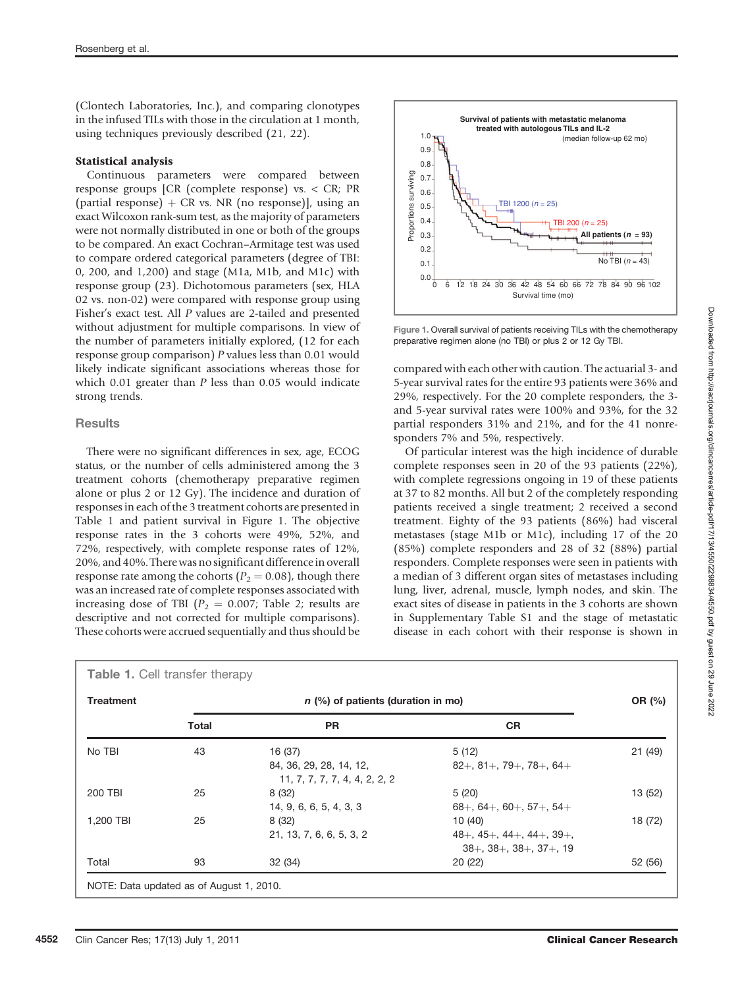(Clontech Laboratories, Inc.), and comparing clonotypes in the infused TILs with those in the circulation at 1 month, using techniques previously described (21, 22).

#### Statistical analysis

Continuous parameters were compared between response groups [CR (complete response) vs. < CR; PR (partial response)  $+$  CR vs. NR (no response)], using an exact Wilcoxon rank-sum test, as the majority of parameters were not normally distributed in one or both of the groups to be compared. An exact Cochran–Armitage test was used to compare ordered categorical parameters (degree of TBI: 0, 200, and 1,200) and stage (M1a, M1b, and M1c) with response group (23). Dichotomous parameters (sex, HLA 02 vs. non-02) were compared with response group using Fisher's exact test. All P values are 2-tailed and presented without adjustment for multiple comparisons. In view of the number of parameters initially explored, (12 for each response group comparison) P values less than 0.01 would likely indicate significant associations whereas those for which  $0.01$  greater than  $P$  less than  $0.05$  would indicate strong trends.

### **Results**

There were no significant differences in sex, age, ECOG status, or the number of cells administered among the 3 treatment cohorts (chemotherapy preparative regimen alone or plus 2 or 12 Gy). The incidence and duration of responses in each of the 3 treatment cohorts are presented in Table 1 and patient survival in Figure 1. The objective response rates in the 3 cohorts were 49%, 52%, and 72%, respectively, with complete response rates of 12%, 20%, and 40%. There was no significant difference in overall response rate among the cohorts ( $P_2 = 0.08$ ), though there was an increased rate of complete responses associated with increasing dose of TBI ( $P_2 = 0.007$ ; Table 2; results are descriptive and not corrected for multiple comparisons). These cohorts were accrued sequentially and thus should be



Figure 1. Overall survival of patients receiving TILs with the chemotherapy preparative regimen alone (no TBI) or plus 2 or 12 Gy TBI.

compared with each other with caution. The actuarial 3- and 5-year survival rates for the entire 93 patients were 36% and 29%, respectively. For the 20 complete responders, the 3 and 5-year survival rates were 100% and 93%, for the 32 partial responders 31% and 21%, and for the 41 nonresponders 7% and 5%, respectively.

Of particular interest was the high incidence of durable complete responses seen in 20 of the 93 patients (22%), with complete regressions ongoing in 19 of these patients at 37 to 82 months. All but 2 of the completely responding patients received a single treatment; 2 received a second treatment. Eighty of the 93 patients (86%) had visceral metastases (stage M1b or M1c), including 17 of the 20 (85%) complete responders and 28 of 32 (88%) partial responders. Complete responses were seen in patients with a median of 3 different organ sites of metastases including lung, liver, adrenal, muscle, lymph nodes, and skin. The exact sites of disease in patients in the 3 cohorts are shown in Supplementary Table S1 and the stage of metastatic disease in each cohort with their response is shown in

| <b>Treatment</b> | $n$ (%) of patients (duration in mo) |                               |                                                                  |         |
|------------------|--------------------------------------|-------------------------------|------------------------------------------------------------------|---------|
|                  | Total                                | <b>PR</b>                     | <b>CR</b>                                                        |         |
| No TBI           | 43                                   | 16 (37)                       | 5(12)                                                            | 21 (49) |
|                  |                                      | 84, 36, 29, 28, 14, 12,       | $82+, 81+, 79+, 78+, 64+$                                        |         |
|                  |                                      | 11, 7, 7, 7, 7, 4, 4, 2, 2, 2 |                                                                  |         |
| 200 TBI          | 25                                   | 8 (32)                        | 5(20)                                                            | 13 (52) |
|                  |                                      | 14, 9, 6, 6, 5, 4, 3, 3       | $68+$ , 64+, 60+, 57+, 54+                                       |         |
| 1,200 TBI        | 25                                   | 8 (32)                        | 10(40)                                                           | 18 (72) |
|                  |                                      | 21, 13, 7, 6, 6, 5, 3, 2      | $48 + 45 + 44 + 44 + 39 +$<br>$38+$ , $38+$ , $38+$ , $37+$ , 19 |         |
| Total            | 93                                   | 32 (34)                       | 20(22)                                                           | 52 (56) |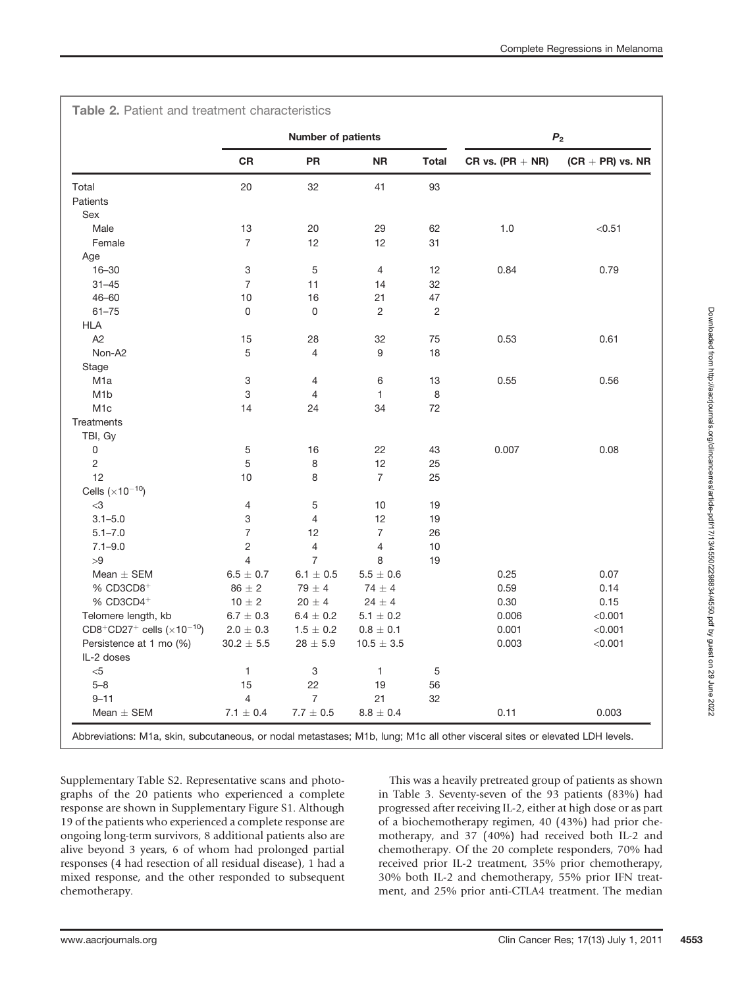|                                         | <b>Number of patients</b> |                 |                | $\boldsymbol{P}_2$ |                    |                    |
|-----------------------------------------|---------------------------|-----------------|----------------|--------------------|--------------------|--------------------|
|                                         | <b>CR</b>                 | <b>PR</b>       | <b>NR</b>      | <b>Total</b>       | $CR vs. (PR + NR)$ | $(CR + PR)$ vs. NR |
| Total                                   | 20                        | 32              | 41             | 93                 |                    |                    |
| Patients                                |                           |                 |                |                    |                    |                    |
| Sex                                     |                           |                 |                |                    |                    |                    |
| Male                                    | 13                        | 20              | 29             | 62                 | 1.0                | < 0.51             |
| Female                                  | $\overline{7}$            | 12              | 12             | 31                 |                    |                    |
| Age                                     |                           |                 |                |                    |                    |                    |
| $16 - 30$                               | 3                         | 5               | 4              | 12                 | 0.84               | 0.79               |
| $31 - 45$                               | $\overline{7}$            | 11              | 14             | 32                 |                    |                    |
| $46 - 60$                               | 10                        | 16              | 21             | 47                 |                    |                    |
| $61 - 75$                               | 0                         | 0               | 2              | 2                  |                    |                    |
| <b>HLA</b>                              |                           |                 |                |                    |                    |                    |
| A <sub>2</sub>                          | 15                        | 28              | 32             | 75                 | 0.53               | 0.61               |
| Non-A2                                  | 5                         | 4               | 9              | 18                 |                    |                    |
| Stage                                   |                           |                 |                |                    |                    |                    |
| M <sub>1</sub> a                        | 3                         | 4               | 6              | 13                 | 0.55               | 0.56               |
| M <sub>1</sub> b                        | 3                         | 4               | $\mathbf{1}$   | 8                  |                    |                    |
| M <sub>1</sub> c                        | 14                        | 24              | 34             | 72                 |                    |                    |
| Treatments                              |                           |                 |                |                    |                    |                    |
| TBI, Gy                                 |                           |                 |                |                    |                    |                    |
| 0                                       | 5                         | 16              | 22             | 43                 | 0.007              | 0.08               |
| $\sqrt{2}$                              | 5                         | 8               | 12             | 25                 |                    |                    |
| 12                                      | 10                        | 8               | $\overline{7}$ | 25                 |                    |                    |
| Cells $(\times 10^{-10})$               |                           |                 |                |                    |                    |                    |
| $<$ 3                                   | 4                         | 5               | 10             | 19                 |                    |                    |
| $3.1 - 5.0$                             | 3                         | $\overline{4}$  | 12             | 19                 |                    |                    |
| $5.1 - 7.0$                             | $\overline{7}$            | 12              | $\overline{7}$ | 26                 |                    |                    |
| $7.1 - 9.0$                             | $\sqrt{2}$                | 4               | $\overline{4}$ | 10                 |                    |                    |
| >9                                      | $\overline{4}$            | $\overline{7}$  | 8              | 19                 |                    |                    |
| Mean $\pm$ SEM                          | $6.5 \pm 0.7$             | $6.1 \pm 0.5$   | $5.5 \pm 0.6$  |                    | 0.25               | 0.07               |
| $%$ CD3CD8 <sup>+</sup>                 | $86 \pm 2$                | $79 \pm 4$      | $74 \pm 4$     |                    | 0.59               | 0.14               |
| $%$ CD3CD4 <sup>+</sup>                 | $10 \pm 2$                | $20 \pm 4$      | $24 \pm 4$     |                    | 0.30               | 0.15               |
| Telomere length, kb                     | $6.7 \pm 0.3$             | $6.4 \pm 0.2$   |                |                    | 0.006              | < 0.001            |
|                                         |                           |                 | $5.1 \pm 0.2$  |                    |                    |                    |
| $CD8^+CD27^+$ cells $(\times 10^{-10})$ | $2.0\,\pm\,0.3$           | $1.5 \pm 0.2$   | $0.8 \pm 0.1$  |                    | 0.001              | < 0.001            |
| Persistence at 1 mo (%)                 | $30.2 \pm 5.5$            | $28 \pm 5.9$    | $10.5 \pm 3.5$ |                    | 0.003              | < 0.001            |
| IL-2 doses                              |                           |                 |                |                    |                    |                    |
| $<$ 5                                   | $\mathbf{1}$              | 3               | $\mathbf{1}$   | 5                  |                    |                    |
| $5 - 8$                                 | 15                        | 22              | 19             | 56                 |                    |                    |
| $9 - 11$                                | 4                         | 7               | 21             | 32                 |                    |                    |
| Mean $\pm$ SEM                          | $7.1 \pm 0.4$             | $7.7\,\pm\,0.5$ | $8.8 \pm 0.4$  |                    | 0.11               | 0.003              |

Supplementary Table S2. Representative scans and photographs of the 20 patients who experienced a complete response are shown in Supplementary Figure S1. Although 19 of the patients who experienced a complete response are ongoing long-term survivors, 8 additional patients also are alive beyond 3 years, 6 of whom had prolonged partial responses (4 had resection of all residual disease), 1 had a mixed response, and the other responded to subsequent chemotherapy.

This was a heavily pretreated group of patients as shown in Table 3. Seventy-seven of the 93 patients (83%) had progressed after receiving IL-2, either at high dose or as part of a biochemotherapy regimen, 40 (43%) had prior chemotherapy, and 37 (40%) had received both IL-2 and chemotherapy. Of the 20 complete responders, 70% had received prior IL-2 treatment, 35% prior chemotherapy, 30% both IL-2 and chemotherapy, 55% prior IFN treatment, and 25% prior anti-CTLA4 treatment. The median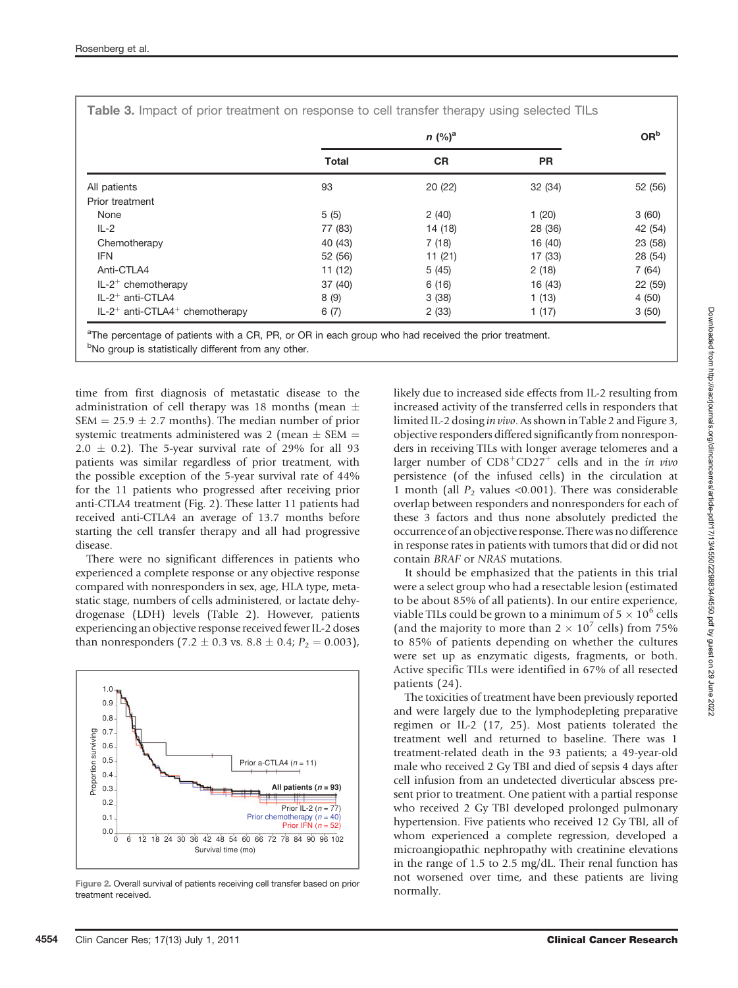|                                                          |              | OR <sup>b</sup> |           |         |
|----------------------------------------------------------|--------------|-----------------|-----------|---------|
|                                                          | <b>Total</b> | <b>CR</b>       | <b>PR</b> |         |
| All patients                                             | 93           | 20 (22)         | 32(34)    | 52 (56) |
| Prior treatment                                          |              |                 |           |         |
| None                                                     | 5(5)         | 2(40)           | 1(20)     | 3(60)   |
| $IL-2$                                                   | 77 (83)      | 14 (18)         | 28 (36)   | 42 (54) |
| Chemotherapy                                             | 40 (43)      | 7(18)           | 16 (40)   | 23 (58) |
| <b>IFN</b>                                               | 52 (56)      | 11(21)          | 17 (33)   | 28 (54) |
| Anti-CTLA4                                               | 11(12)       | 5(45)           | 2(18)     | 7(64)   |
| $IL-2^+$ chemotherapy                                    | 37(40)       | 6(16)           | 16 (43)   | 22 (59) |
| IL-2 <sup>+</sup> anti-CTLA4                             | 8 (9)        | 3(38)           | 1(13)     | 4(50)   |
| $IL-2$ <sup>+</sup> anti-CTLA4 <sup>+</sup> chemotherapy | 6(7)         | 2(33)           | 1(17)     | 3(50)   |

Table 3. Impact of prior treatment on response to cell transfer therapy using selected TILs

<sup>a</sup>The percentage of patients with a CR, PR, or OR in each group who had received the prior treatment. <sup>b</sup>No group is statistically different from any other.

time from first diagnosis of metastatic disease to the administration of cell therapy was 18 months (mean  $\pm$  $SEM = 25.9 \pm 2.7$  months). The median number of prior systemic treatments administered was 2 (mean  $\pm$  SEM  $=$  $2.0 \pm 0.2$ ). The 5-year survival rate of 29% for all 93 patients was similar regardless of prior treatment, with the possible exception of the 5-year survival rate of 44% for the 11 patients who progressed after receiving prior anti-CTLA4 treatment (Fig. 2). These latter 11 patients had received anti-CTLA4 an average of 13.7 months before starting the cell transfer therapy and all had progressive disease.

There were no significant differences in patients who experienced a complete response or any objective response compared with nonresponders in sex, age, HLA type, metastatic stage, numbers of cells administered, or lactate dehydrogenase (LDH) levels (Table 2). However, patients experiencing an objective response received fewer IL-2 doses than nonresponders  $(7.2 \pm 0.3 \text{ vs. } 8.8 \pm 0.4; P_2 = 0.003)$ ,



Figure 2. Overall survival of patients receiving cell transfer based on prior treatment received.

likely due to increased side effects from IL-2 resulting from increased activity of the transferred cells in responders that limited IL-2 dosing in vivo. As shown in Table 2 and Figure 3, objective responders differed significantly from nonresponders in receiving TILs with longer average telomeres and a larger number of  $CD8<sup>+</sup>CD27<sup>+</sup>$  cells and in the *in vivo* persistence (of the infused cells) in the circulation at 1 month (all  $P<sub>2</sub>$  values <0.001). There was considerable overlap between responders and nonresponders for each of these 3 factors and thus none absolutely predicted the occurrence of an objective response. There was no difference in response rates in patients with tumors that did or did not contain BRAF or NRAS mutations.

It should be emphasized that the patients in this trial were a select group who had a resectable lesion (estimated to be about 85% of all patients). In our entire experience, viable TILs could be grown to a minimum of  $5 \times 10^6$  cells (and the majority to more than  $2 \times 10^7$  cells) from 75% to 85% of patients depending on whether the cultures were set up as enzymatic digests, fragments, or both. Active specific TILs were identified in 67% of all resected patients (24).

The toxicities of treatment have been previously reported and were largely due to the lymphodepleting preparative regimen or IL-2 (17, 25). Most patients tolerated the treatment well and returned to baseline. There was 1 treatment-related death in the 93 patients; a 49-year-old male who received 2 Gy TBI and died of sepsis 4 days after cell infusion from an undetected diverticular abscess present prior to treatment. One patient with a partial response who received 2 Gy TBI developed prolonged pulmonary hypertension. Five patients who received 12 Gy TBI, all of whom experienced a complete regression, developed a microangiopathic nephropathy with creatinine elevations in the range of 1.5 to 2.5 mg/dL. Their renal function has not worsened over time, and these patients are living normally.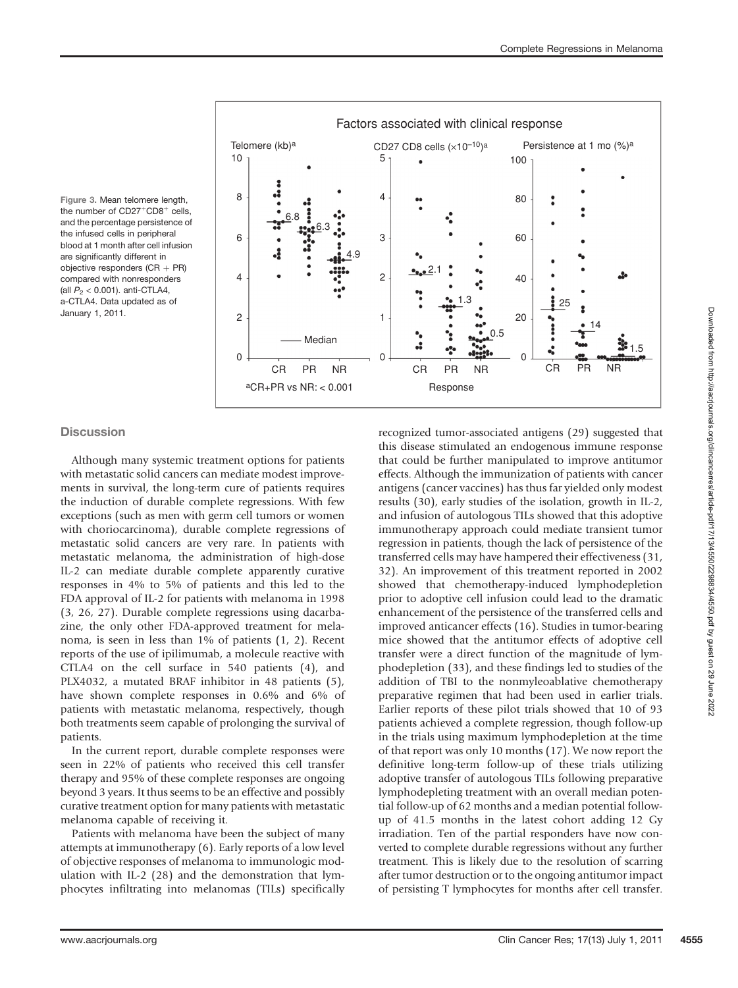Figure 3. Mean telomere length, the number of  $CD27^+CD8^+$  cells, and the percentage persistence of the infused cells in peripheral blood at 1 month after cell infusion are significantly different in objective responders  $(CR + PR)$ compared with nonresponders (all  $P_2$  < 0.001). anti-CTLA4, a-CTLA4. Data updated as of January 1, 2011.



### **Discussion**

Although many systemic treatment options for patients with metastatic solid cancers can mediate modest improvements in survival, the long-term cure of patients requires the induction of durable complete regressions. With few exceptions (such as men with germ cell tumors or women with choriocarcinoma), durable complete regressions of metastatic solid cancers are very rare. In patients with metastatic melanoma, the administration of high-dose IL-2 can mediate durable complete apparently curative responses in 4% to 5% of patients and this led to the FDA approval of IL-2 for patients with melanoma in 1998 (3, 26, 27). Durable complete regressions using dacarbazine, the only other FDA-approved treatment for melanoma, is seen in less than 1% of patients (1, 2). Recent reports of the use of ipilimumab, a molecule reactive with CTLA4 on the cell surface in 540 patients (4), and PLX4032, a mutated BRAF inhibitor in 48 patients (5), have shown complete responses in 0.6% and 6% of patients with metastatic melanoma, respectively, though both treatments seem capable of prolonging the survival of patients.

In the current report, durable complete responses were seen in 22% of patients who received this cell transfer therapy and 95% of these complete responses are ongoing beyond 3 years. It thus seems to be an effective and possibly curative treatment option for many patients with metastatic melanoma capable of receiving it.

Patients with melanoma have been the subject of many attempts at immunotherapy (6). Early reports of a low level of objective responses of melanoma to immunologic modulation with IL-2 (28) and the demonstration that lymphocytes infiltrating into melanomas (TILs) specifically

recognized tumor-associated antigens (29) suggested that this disease stimulated an endogenous immune response that could be further manipulated to improve antitumor effects. Although the immunization of patients with cancer antigens (cancer vaccines) has thus far yielded only modest results (30), early studies of the isolation, growth in IL-2, and infusion of autologous TILs showed that this adoptive immunotherapy approach could mediate transient tumor regression in patients, though the lack of persistence of the transferred cells may have hampered their effectiveness (31, 32). An improvement of this treatment reported in 2002 showed that chemotherapy-induced lymphodepletion prior to adoptive cell infusion could lead to the dramatic enhancement of the persistence of the transferred cells and improved anticancer effects (16). Studies in tumor-bearing mice showed that the antitumor effects of adoptive cell transfer were a direct function of the magnitude of lymphodepletion (33), and these findings led to studies of the addition of TBI to the nonmyleoablative chemotherapy preparative regimen that had been used in earlier trials. Earlier reports of these pilot trials showed that 10 of 93 patients achieved a complete regression, though follow-up in the trials using maximum lymphodepletion at the time of that report was only 10 months (17). We now report the definitive long-term follow-up of these trials utilizing adoptive transfer of autologous TILs following preparative lymphodepleting treatment with an overall median potential follow-up of 62 months and a median potential followup of 41.5 months in the latest cohort adding 12 Gy irradiation. Ten of the partial responders have now converted to complete durable regressions without any further treatment. This is likely due to the resolution of scarring after tumor destruction or to the ongoing antitumor impact of persisting T lymphocytes for months after cell transfer.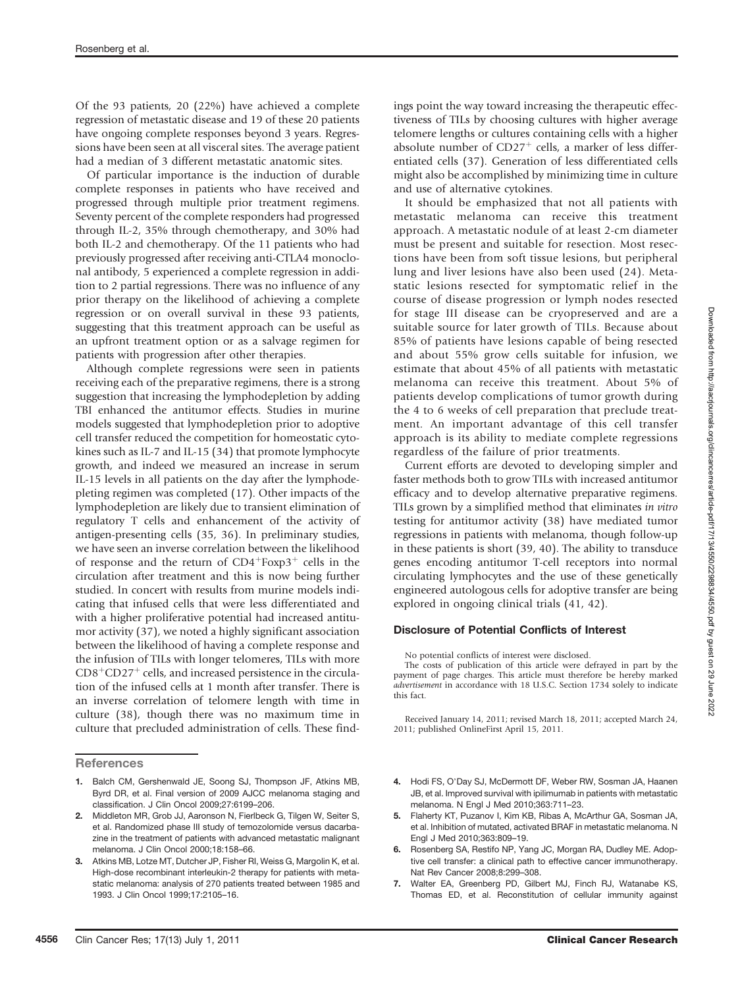Of the 93 patients, 20 (22%) have achieved a complete regression of metastatic disease and 19 of these 20 patients have ongoing complete responses beyond 3 years. Regressions have been seen at all visceral sites. The average patient had a median of 3 different metastatic anatomic sites.

Of particular importance is the induction of durable complete responses in patients who have received and progressed through multiple prior treatment regimens. Seventy percent of the complete responders had progressed through IL-2, 35% through chemotherapy, and 30% had both IL-2 and chemotherapy. Of the 11 patients who had previously progressed after receiving anti-CTLA4 monoclonal antibody, 5 experienced a complete regression in addition to 2 partial regressions. There was no influence of any prior therapy on the likelihood of achieving a complete regression or on overall survival in these 93 patients, suggesting that this treatment approach can be useful as an upfront treatment option or as a salvage regimen for patients with progression after other therapies.

Although complete regressions were seen in patients receiving each of the preparative regimens, there is a strong suggestion that increasing the lymphodepletion by adding TBI enhanced the antitumor effects. Studies in murine models suggested that lymphodepletion prior to adoptive cell transfer reduced the competition for homeostatic cytokines such as IL-7 and IL-15 (34) that promote lymphocyte growth, and indeed we measured an increase in serum IL-15 levels in all patients on the day after the lymphodepleting regimen was completed (17). Other impacts of the lymphodepletion are likely due to transient elimination of regulatory T cells and enhancement of the activity of antigen-presenting cells (35, 36). In preliminary studies, we have seen an inverse correlation between the likelihood of response and the return of  $CD4+Foxp3$ <sup>+</sup> cells in the circulation after treatment and this is now being further studied. In concert with results from murine models indicating that infused cells that were less differentiated and with a higher proliferative potential had increased antitumor activity (37), we noted a highly significant association between the likelihood of having a complete response and the infusion of TILs with longer telomeres, TILs with more  $CD8<sup>+</sup>CD27<sup>+</sup>$  cells, and increased persistence in the circulation of the infused cells at 1 month after transfer. There is an inverse correlation of telomere length with time in culture (38), though there was no maximum time in culture that precluded administration of cells. These find-

ings point the way toward increasing the therapeutic effectiveness of TILs by choosing cultures with higher average telomere lengths or cultures containing cells with a higher absolute number of  $CD27<sup>+</sup>$  cells, a marker of less differentiated cells (37). Generation of less differentiated cells might also be accomplished by minimizing time in culture and use of alternative cytokines.

It should be emphasized that not all patients with metastatic melanoma can receive this treatment approach. A metastatic nodule of at least 2-cm diameter must be present and suitable for resection. Most resections have been from soft tissue lesions, but peripheral lung and liver lesions have also been used (24). Metastatic lesions resected for symptomatic relief in the course of disease progression or lymph nodes resected for stage III disease can be cryopreserved and are a suitable source for later growth of TILs. Because about 85% of patients have lesions capable of being resected and about 55% grow cells suitable for infusion, we estimate that about 45% of all patients with metastatic melanoma can receive this treatment. About 5% of patients develop complications of tumor growth during the 4 to 6 weeks of cell preparation that preclude treatment. An important advantage of this cell transfer approach is its ability to mediate complete regressions regardless of the failure of prior treatments.

Current efforts are devoted to developing simpler and faster methods both to grow TILs with increased antitumor efficacy and to develop alternative preparative regimens. TILs grown by a simplified method that eliminates in vitro testing for antitumor activity (38) have mediated tumor regressions in patients with melanoma, though follow-up in these patients is short (39, 40). The ability to transduce genes encoding antitumor T-cell receptors into normal circulating lymphocytes and the use of these genetically engineered autologous cells for adoptive transfer are being explored in ongoing clinical trials (41, 42).

### Disclosure of Potential Conflicts of Interest

No potential conflicts of interest were disclosed.

The costs of publication of this article were defrayed in part by the payment of page charges. This article must therefore be hereby marked advertisement in accordance with 18 U.S.C. Section 1734 solely to indicate this fact.

Received January 14, 2011; revised March 18, 2011; accepted March 24, 2011; published OnlineFirst April 15, 2011.

- 4. Hodi FS, O'Day SJ, McDermott DF, Weber RW, Sosman JA, Haanen JB, et al. Improved survival with ipilimumab in patients with metastatic melanoma. N Engl J Med 2010;363:711–23.
- 5. Flaherty KT, Puzanov I, Kim KB, Ribas A, McArthur GA, Sosman JA, et al. Inhibition of mutated, activated BRAF in metastatic melanoma. N Engl J Med 2010;363:809–19.
- 6. Rosenberg SA, Restifo NP, Yang JC, Morgan RA, Dudley ME. Adoptive cell transfer: a clinical path to effective cancer immunotherapy. Nat Rev Cancer 2008;8:299–308.
- 7. Walter EA, Greenberg PD, Gilbert MJ, Finch RJ, Watanabe KS, Thomas ED, et al. Reconstitution of cellular immunity against

**References** 

<sup>1.</sup> Balch CM, Gershenwald JE, Soong SJ, Thompson JF, Atkins MB, Byrd DR, et al. Final version of 2009 AJCC melanoma staging and classification. J Clin Oncol 2009;27:6199–206.

<sup>2.</sup> Middleton MR, Grob JJ, Aaronson N, Fierlbeck G, Tilgen W, Seiter S, et al. Randomized phase III study of temozolomide versus dacarbazine in the treatment of patients with advanced metastatic malignant melanoma. J Clin Oncol 2000;18:158–66.

<sup>3.</sup> Atkins MB, Lotze MT, Dutcher JP, Fisher RI, Weiss G, Margolin K, et al. High-dose recombinant interleukin-2 therapy for patients with metastatic melanoma: analysis of 270 patients treated between 1985 and 1993. J Clin Oncol 1999;17:2105–16.